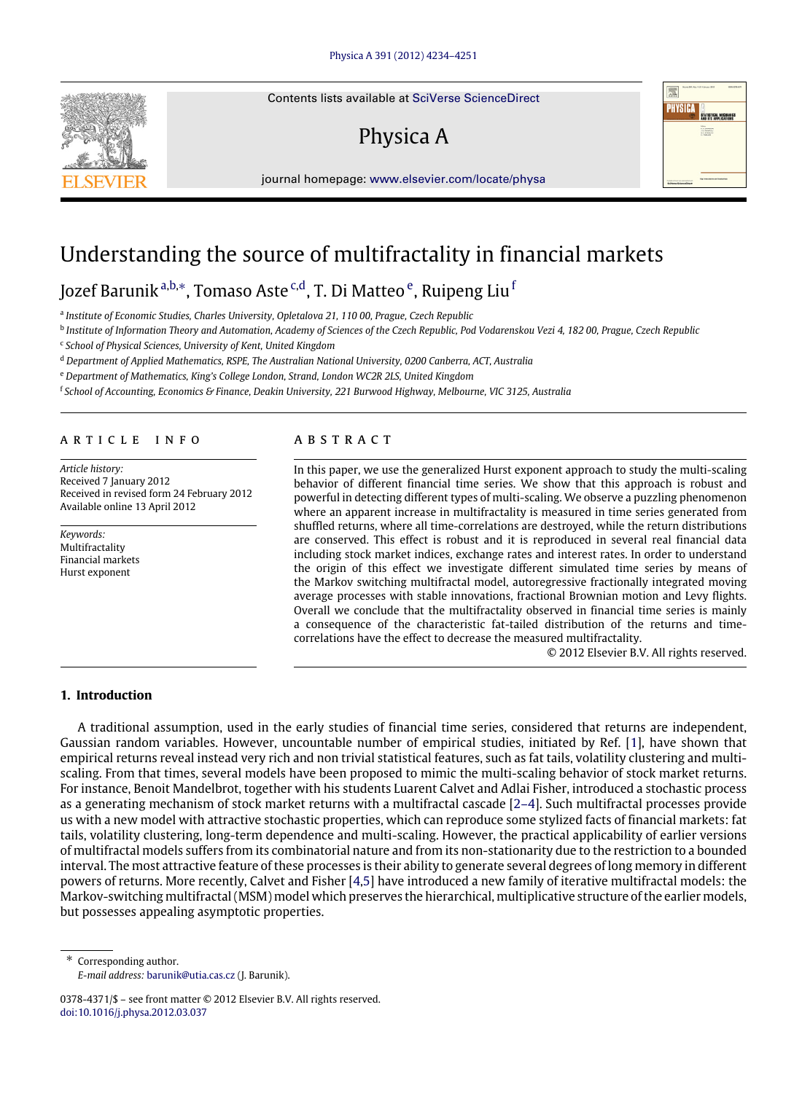Contents lists available at [SciVerse ScienceDirect](http://www.elsevier.com/locate/physa)

# Physica A

journal homepage: [www.elsevier.com/locate/physa](http://www.elsevier.com/locate/physa)



## Understanding the source of multifractality in financial markets

### Jozef B[a](#page-0-0)runik <sup>a[,b,](#page-0-1)</sup>\*, Tomaso Aste <sup>[c](#page-0-3)[,d](#page-0-4)</sup>, T. Di Matt[e](#page-0-5)o <sup>e</sup>, Ruipeng Liu <sup>[f](#page-0-6)</sup>

<span id="page-0-0"></span><sup>a</sup> Institute of Economic Studies, Charles University, Opletalova 21, 110 00, Prague, Czech Republic

<span id="page-0-1"></span>b *Institute of Information Theory and Automation, Academy of Sciences of the Czech Republic, Pod Vodarenskou Vezi 4, 182 00, Prague, Czech Republic*

<span id="page-0-3"></span>c *School of Physical Sciences, University of Kent, United Kingdom*

<span id="page-0-4"></span><sup>d</sup> *Department of Applied Mathematics, RSPE, The Australian National University, 0200 Canberra, ACT, Australia*

<span id="page-0-5"></span><sup>e</sup> *Department of Mathematics, King's College London, Strand, London WC2R 2LS, United Kingdom*

<span id="page-0-6"></span>f *School of Accounting, Economics & Finance, Deakin University, 221 Burwood Highway, Melbourne, VIC 3125, Australia*

#### a r t i c l e i n f o

*Article history:* Received 7 January 2012 Received in revised form 24 February 2012 Available online 13 April 2012

*Keywords:* Multifractality Financial markets Hurst exponent

#### a b s t r a c t

In this paper, we use the generalized Hurst exponent approach to study the multi-scaling behavior of different financial time series. We show that this approach is robust and powerful in detecting different types of multi-scaling. We observe a puzzling phenomenon where an apparent increase in multifractality is measured in time series generated from shuffled returns, where all time-correlations are destroyed, while the return distributions are conserved. This effect is robust and it is reproduced in several real financial data including stock market indices, exchange rates and interest rates. In order to understand the origin of this effect we investigate different simulated time series by means of the Markov switching multifractal model, autoregressive fractionally integrated moving average processes with stable innovations, fractional Brownian motion and Levy flights. Overall we conclude that the multifractality observed in financial time series is mainly a consequence of the characteristic fat-tailed distribution of the returns and timecorrelations have the effect to decrease the measured multifractality.

© 2012 Elsevier B.V. All rights reserved.

#### **1. Introduction**

A traditional assumption, used in the early studies of financial time series, considered that returns are independent, Gaussian random variables. However, uncountable number of empirical studies, initiated by Ref. [\[1\]](#page--1-0), have shown that empirical returns reveal instead very rich and non trivial statistical features, such as fat tails, volatility clustering and multiscaling. From that times, several models have been proposed to mimic the multi-scaling behavior of stock market returns. For instance, Benoit Mandelbrot, together with his students Luarent Calvet and Adlai Fisher, introduced a stochastic process as a generating mechanism of stock market returns with a multifractal cascade [\[2–4\]](#page--1-1). Such multifractal processes provide us with a new model with attractive stochastic properties, which can reproduce some stylized facts of financial markets: fat tails, volatility clustering, long-term dependence and multi-scaling. However, the practical applicability of earlier versions of multifractal models suffers from its combinatorial nature and from its non-stationarity due to the restriction to a bounded interval. The most attractive feature of these processes is their ability to generate several degrees of long memory in different powers of returns. More recently, Calvet and Fisher [\[4,](#page--1-2)[5\]](#page--1-3) have introduced a new family of iterative multifractal models: the Markov-switching multifractal (MSM) model which preserves the hierarchical, multiplicative structure of the earlier models, but possesses appealing asymptotic properties.

<span id="page-0-2"></span>Corresponding author. *E-mail address:* [barunik@utia.cas.cz](mailto:barunik@utia.cas.cz) (J. Barunik).

<sup>0378-4371/\$ –</sup> see front matter © 2012 Elsevier B.V. All rights reserved. [doi:10.1016/j.physa.2012.03.037](http://dx.doi.org/10.1016/j.physa.2012.03.037)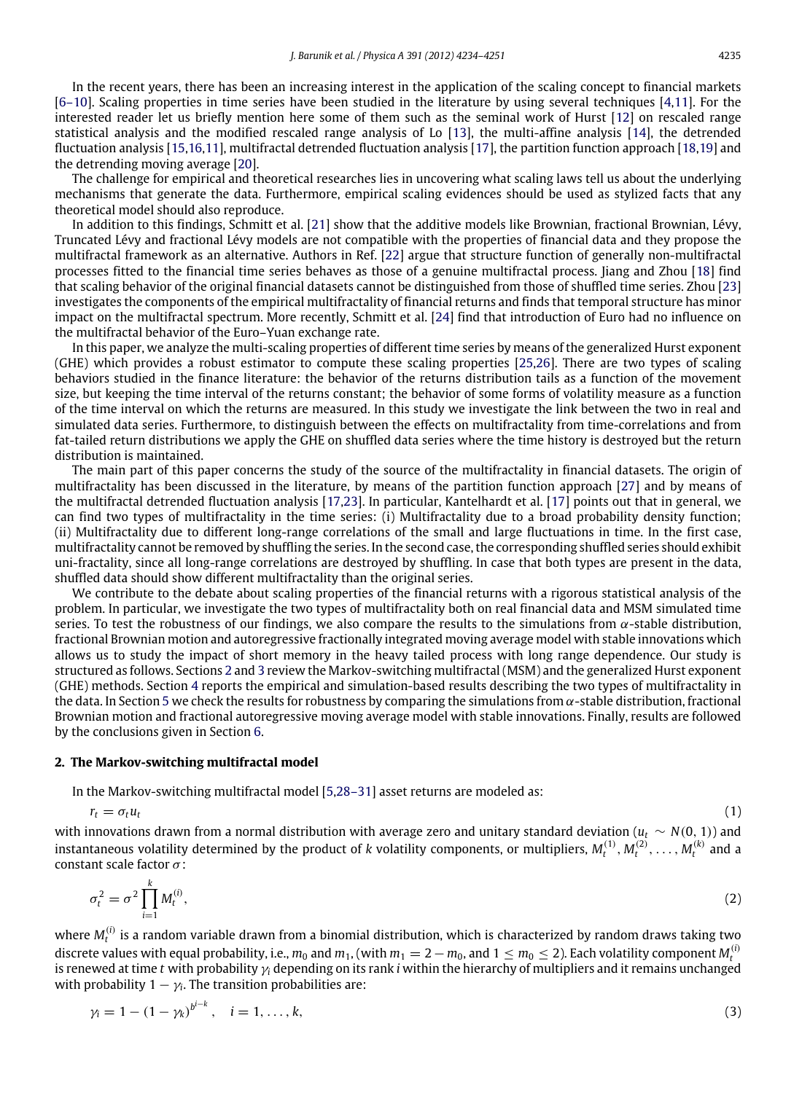In the recent years, there has been an increasing interest in the application of the scaling concept to financial markets [\[6–10\]](#page--1-4). Scaling properties in time series have been studied in the literature by using several techniques [\[4,](#page--1-2)[11\]](#page--1-5). For the interested reader let us briefly mention here some of them such as the seminal work of Hurst [\[12\]](#page--1-6) on rescaled range statistical analysis and the modified rescaled range analysis of Lo [\[13\]](#page--1-7), the multi-affine analysis [\[14\]](#page--1-8), the detrended fluctuation analysis [\[15,](#page--1-9)[16](#page--1-10)[,11\]](#page--1-5), multifractal detrended fluctuation analysis [\[17\]](#page--1-11), the partition function approach [\[18,](#page--1-12)[19\]](#page--1-13) and the detrending moving average [\[20\]](#page--1-14).

The challenge for empirical and theoretical researches lies in uncovering what scaling laws tell us about the underlying mechanisms that generate the data. Furthermore, empirical scaling evidences should be used as stylized facts that any theoretical model should also reproduce.

In addition to this findings, Schmitt et al. [\[21\]](#page--1-15) show that the additive models like Brownian, fractional Brownian, Lévy, Truncated Lévy and fractional Lévy models are not compatible with the properties of financial data and they propose the multifractal framework as an alternative. Authors in Ref. [\[22\]](#page--1-16) argue that structure function of generally non-multifractal processes fitted to the financial time series behaves as those of a genuine multifractal process. Jiang and Zhou [\[18\]](#page--1-12) find that scaling behavior of the original financial datasets cannot be distinguished from those of shuffled time series. Zhou [\[23\]](#page--1-17) investigates the components of the empirical multifractality of financial returns and finds that temporal structure has minor impact on the multifractal spectrum. More recently, Schmitt et al. [\[24\]](#page--1-18) find that introduction of Euro had no influence on the multifractal behavior of the Euro–Yuan exchange rate.

In this paper, we analyze the multi-scaling properties of different time series by means of the generalized Hurst exponent (GHE) which provides a robust estimator to compute these scaling properties [\[25](#page--1-19)[,26\]](#page--1-20). There are two types of scaling behaviors studied in the finance literature: the behavior of the returns distribution tails as a function of the movement size, but keeping the time interval of the returns constant; the behavior of some forms of volatility measure as a function of the time interval on which the returns are measured. In this study we investigate the link between the two in real and simulated data series. Furthermore, to distinguish between the effects on multifractality from time-correlations and from fat-tailed return distributions we apply the GHE on shuffled data series where the time history is destroyed but the return distribution is maintained.

The main part of this paper concerns the study of the source of the multifractality in financial datasets. The origin of multifractality has been discussed in the literature, by means of the partition function approach [\[27\]](#page--1-21) and by means of the multifractal detrended fluctuation analysis [\[17](#page--1-11)[,23\]](#page--1-17). In particular, Kantelhardt et al. [\[17\]](#page--1-11) points out that in general, we can find two types of multifractality in the time series: (i) Multifractality due to a broad probability density function; (ii) Multifractality due to different long-range correlations of the small and large fluctuations in time. In the first case, multifractality cannot be removed by shuffling the series. In the second case, the corresponding shuffled series should exhibit uni-fractality, since all long-range correlations are destroyed by shuffling. In case that both types are present in the data, shuffled data should show different multifractality than the original series.

We contribute to the debate about scaling properties of the financial returns with a rigorous statistical analysis of the problem. In particular, we investigate the two types of multifractality both on real financial data and MSM simulated time series. To test the robustness of our findings, we also compare the results to the simulations from  $\alpha$ -stable distribution, fractional Brownian motion and autoregressive fractionally integrated moving average model with stable innovations which allows us to study the impact of short memory in the heavy tailed process with long range dependence. Our study is structured as follows. Sections [2](#page-1-0) and [3](#page--1-22) review the Markov-switching multifractal (MSM) and the generalized Hurst exponent (GHE) methods. Section [4](#page--1-23) reports the empirical and simulation-based results describing the two types of multifractality in the data. In Section [5](#page--1-24) we check the results for robustness by comparing the simulations from  $\alpha$ -stable distribution, fractional Brownian motion and fractional autoregressive moving average model with stable innovations. Finally, results are followed by the conclusions given in Section [6.](#page--1-25)

#### <span id="page-1-0"></span>**2. The Markov-switching multifractal model**

In the Markov-switching multifractal model [\[5,](#page--1-3)[28–31\]](#page--1-26) asset returns are modeled as:

$$
r_t = \sigma_t u_t \tag{1}
$$

with innovations drawn from a normal distribution with average zero and unitary standard deviation (*u<sup>t</sup>* ∼ *N*(0, 1)) and instantaneous volatility determined by the product of *k* volatility components, or multipliers,  $M_t^{(1)}, M_t^{(2)}, \ldots, M_t^{(k)}$  and a constant scale factor  $\sigma$ :

$$
\sigma_t^2 = \sigma^2 \prod_{i=1}^k M_t^{(i)},\tag{2}
$$

where  $M_t^{(i)}$  is a random variable drawn from a binomial distribution, which is characterized by random draws taking two discrete values with equal probability, i.e.,  $m_0$  and  $m_1$ , (with  $m_1=2-m_0$ , and  $1\leq m_0\leq 2$ ). Each volatility component  $M_t^{(i)}$ is renewed at time *t* with probability γ*<sup>i</sup>* depending on its rank *i* within the hierarchy of multipliers and it remains unchanged with probability  $1 - \gamma_i$ . The transition probabilities are:

$$
\gamma_i = 1 - (1 - \gamma_k)^{b^{i-k}}, \quad i = 1, \dots, k,
$$
\n(3)